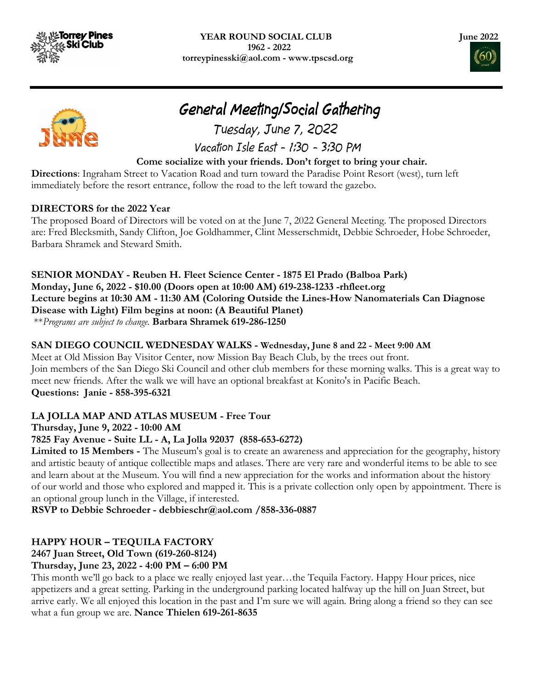

I





# General Meeting/Social Gathering

 Tuesday, June 7, 2022 Vacation Isle East - 1:30 - 3:30 PM

## Come socialize with your friends. Don't forget to bring your chair.

Directions: Ingraham Street to Vacation Road and turn toward the Paradise Point Resort (west), turn left immediately before the resort entrance, follow the road to the left toward the gazebo.

### DIRECTORS for the 2022 Year

The proposed Board of Directors will be voted on at the June 7, 2022 General Meeting. The proposed Directors are: Fred Blecksmith, Sandy Clifton, Joe Goldhammer, Clint Messerschmidt, Debbie Schroeder, Hobe Schroeder, Barbara Shramek and Steward Smith.

SENIOR MONDAY - Reuben H. Fleet Science Center - 1875 El Prado (Balboa Park) Monday, June 6, 2022 - \$10.00 (Doors open at 10:00 AM) 619-238-1233 -rhfleet.org Lecture begins at 10:30 AM - 11:30 AM (Coloring Outside the Lines-How Nanomaterials Can Diagnose Disease with Light) Film begins at noon: (A Beautiful Planet) \*\*Programs are subject to change. Barbara Shramek 619-286-1250

# SAN DIEGO COUNCIL WEDNESDAY WALKS - Wednesday, June 8 and 22 - Meet 9:00 AM

Meet at Old Mission Bay Visitor Center, now Mission Bay Beach Club, by the trees out front. Join members of the San Diego Ski Council and other club members for these morning walks. This is a great way to meet new friends. After the walk we will have an optional breakfast at Konito's in Pacific Beach. Questions: Janie - 858-395-6321

# LA JOLLA MAP AND ATLAS MUSEUM - Free Tour

Thursday, June 9, 2022 - 10:00 AM

# 7825 Fay Avenue - Suite LL - A, La Jolla 92037 (858-653-6272)

Limited to 15 Members - The Museum's goal is to create an awareness and appreciation for the geography, history and artistic beauty of antique collectible maps and atlases. There are very rare and wonderful items to be able to see and learn about at the Museum. You will find a new appreciation for the works and information about the history of our world and those who explored and mapped it. This is a private collection only open by appointment. There is an optional group lunch in the Village, if interested.

RSVP to Debbie Schroeder - debbieschr@aol.com /858-336-0887

# HAPPY HOUR – TEQUILA FACTORY

# 2467 Juan Street, Old Town (619-260-8124)

# Thursday, June 23, 2022 - 4:00 PM – 6:00 PM

This month we'll go back to a place we really enjoyed last year…the Tequila Factory. Happy Hour prices, nice appetizers and a great setting. Parking in the underground parking located halfway up the hill on Juan Street, but arrive early. We all enjoyed this location in the past and I'm sure we will again. Bring along a friend so they can see what a fun group we are. Nance Thielen 619-261-8635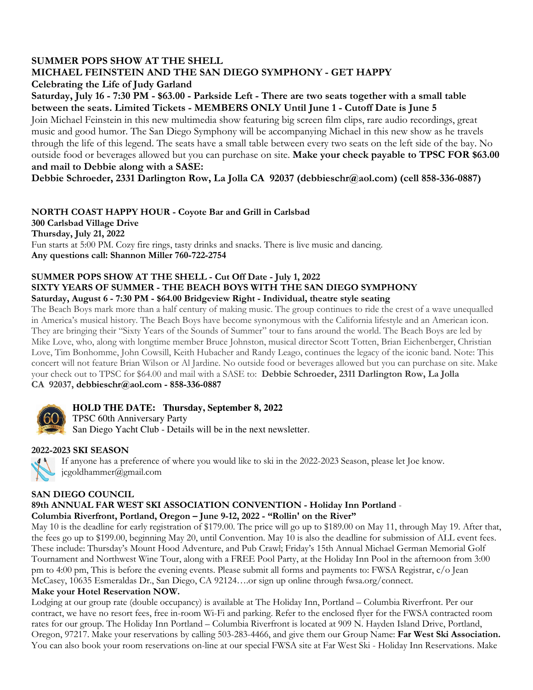#### SUMMER POPS SHOW AT THE SHELL MICHAEL FEINSTEIN AND THE SAN DIEGO SYMPHONY - GET HAPPY Celebrating the Life of Judy Garland Saturday, July 16 - 7:30 PM - \$63.00 - Parkside Left - There are two seats together with a small table between the seats. Limited Tickets - MEMBERS ONLY Until June 1 - Cutoff Date is June 5

Join Michael Feinstein in this new multimedia show featuring big screen film clips, rare audio recordings, great music and good humor. The San Diego Symphony will be accompanying Michael in this new show as he travels through the life of this legend. The seats have a small table between every two seats on the left side of the bay. No outside food or beverages allowed but you can purchase on site. Make your check payable to TPSC FOR \$63.00 and mail to Debbie along with a SASE:

Debbie Schroeder, 2331 Darlington Row, La Jolla CA 92037 (debbieschr@aol.com) (cell 858-336-0887)

#### NORTH COAST HAPPY HOUR - Coyote Bar and Grill in Carlsbad

300 Carlsbad Village Drive Thursday, July 21, 2022 Fun starts at 5:00 PM. Cozy fire rings, tasty drinks and snacks. There is live music and dancing. Any questions call: Shannon Miller 760-722-2754

#### SUMMER POPS SHOW AT THE SHELL - Cut Off Date - July 1, 2022 SIXTY YEARS OF SUMMER - THE BEACH BOYS WITH THE SAN DIEGO SYMPHONY Saturday, August 6 - 7:30 PM - \$64.00 Bridgeview Right - Individual, theatre style seating

The Beach Boys mark more than a half century of making music. The group continues to ride the crest of a wave unequalled in America's musical history. The Beach Boys have become synonymous with the California lifestyle and an American icon. They are bringing their "Sixty Years of the Sounds of Summer" tour to fans around the world. The Beach Boys are led by Mike Love, who, along with longtime member Bruce Johnston, musical director Scott Totten, Brian Eichenberger, Christian Love, Tim Bonhomme, John Cowsill, Keith Hubacher and Randy Leago, continues the legacy of the iconic band. Note: This concert will not feature Brian Wilson or Al Jardine. No outside food or beverages allowed but you can purchase on site. Make your check out to TPSC for \$64.00 and mail with a SASE to: Debbie Schroeder, 2311 Darlington Row, La Jolla CA 92037, debbieschr@aol.com - 858-336-0887



# **HOLD THE DATE: Thursday, September 8, 2022**

TPSC 60th Anniversary Party San Diego Yacht Club - Details will be in the next newsletter.

#### 2022-2023 SKI SEASON



If anyone has a preference of where you would like to ski in the 2022-2023 Season, please let Joe know. jcgoldhammer@gmail.com

#### SAN DIEGO COUNCIL

#### 89th ANNUAL FAR WEST SKI ASSOCIATION CONVENTION - Holiday Inn Portland - Columbia Riverfront, Portland, Oregon – June 9-12, 2022 - "Rollin' on the River"

May 10 is the deadline for early registration of \$179.00. The price will go up to \$189.00 on May 11, through May 19. After that, the fees go up to \$199.00, beginning May 20, until Convention. May 10 is also the deadline for submission of ALL event fees. These include: Thursday's Mount Hood Adventure, and Pub Crawl; Friday's 15th Annual Michael German Memorial Golf Tournament and Northwest Wine Tour, along with a FREE Pool Party, at the Holiday Inn Pool in the afternoon from 3:00 pm to 4:00 pm, This is before the evening events. Please submit all forms and payments to: FWSA Registrar, c/o Jean McCasey, 10635 Esmeraldas Dr., San Diego, CA 92124….or sign up online through fwsa.org/connect.

#### Make your Hotel Reservation NOW.

Lodging at our group rate (double occupancy) is available at The Holiday Inn, Portland – Columbia Riverfront. Per our contract, we have no resort fees, free in-room Wi-Fi and parking. Refer to the enclosed flyer for the FWSA contracted room rates for our group. The Holiday Inn Portland – Columbia Riverfront is located at 909 N. Hayden Island Drive, Portland, Oregon, 97217. Make your reservations by calling 503-283-4466, and give them our Group Name: Far West Ski Association. You can also book your room reservations on-line at our special FWSA site at Far West Ski - Holiday Inn Reservations. Make